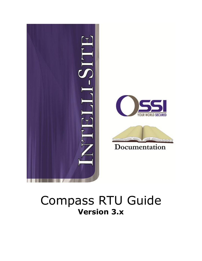

## Compass RTU Guide **Version 3.x**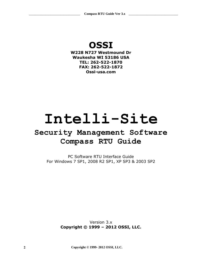## **OSSI**

**W228 N727 Westmound Dr Waukesha WI 53186 USA TEL: 262-522-1870 FAX: 262-522-1872 Ossi-usa.com**

# **Intelli-Site**

## **Security Management Software Compass RTU Guide**

PC Software RTU Interface Guide For Windows 7 SP1, 2008 R2 SP1, XP SP3 & 2003 SP2

> Version 3.x **Copyright © 1999 – 2012 OSSI, LLC.**

**2 Copyright © 1999- 2012 OSSI, LLC.**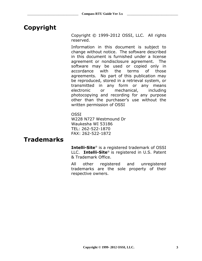## <span id="page-2-0"></span>**Copyright**

Copyright © 1999-2012 OSSI, LLC. All rights reserved.

Information in this document is subject to change without notice. The software described in this document is furnished under a license agreement or nondisclosure agreement. The software may be used or copied only in accordance with the terms of those agreements. No part of this publication may be reproduced, stored in a retrieval system, or transmitted in any form or any means electronic or mechanical, including photocopying and recording for any purpose other than the purchaser's use without the written permission of OSSI

**OSSI** W228 N727 Westmound Dr Waukesha WI 53186 TEL: 262-522-1870 FAX: 262-522-1872

#### <span id="page-2-2"></span><span id="page-2-1"></span>**Trademarks**

**Intelli-Site**® is a registered trademark of OSSI LLC. **Intelli-Site**® is registered in U.S. Patent & Trademark Office.

All other registered and unregistered trademarks are the sole property of their respective owners.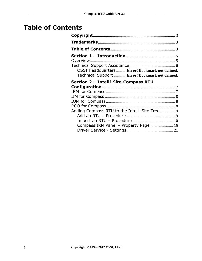## **Table of Contents**

| OSSI HeadquartersError! Bookmark not defined.   |  |
|-------------------------------------------------|--|
| Technical Support  Error! Bookmark not defined. |  |
| Section 2 - Intelli-Site-Compass RTU            |  |
|                                                 |  |
|                                                 |  |
|                                                 |  |
|                                                 |  |
|                                                 |  |
|                                                 |  |
| Adding Compass RTU to the Intelli-Site Tree  9  |  |
|                                                 |  |
|                                                 |  |
| Compass IRM Panel - Property Page  16           |  |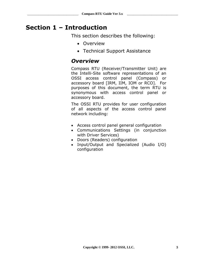## <span id="page-4-1"></span><span id="page-4-0"></span>**Section 1 – Introduction**

This section describes the following:

- Overview
- Technical Support Assistance

#### *Overview*

Compass RTU (Receiver/Transmitter Unit) are the Intelli-Site software representations of an OSSI access control panel (Compass) or accessory board [IRM, IIM, IOM or RCO]. For purposes of this document, the term RTU is synonymous with access control panel or accessory board.

The OSSI RTU provides for user configuration of all aspects of the access control panel network including:

- Access control panel general configuration
- Communications Settings (in conjunction with Driver Services)
- Doors (Readers) configuration
- Input/Output and Specialized (Audio I/O) configuration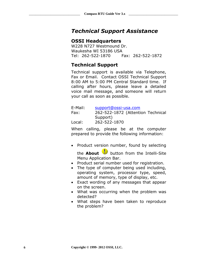#### <span id="page-5-0"></span>*Technical Support Assistance*

#### **OSSI Headquarters**

W228 N727 Westmound Dr. Waukesha WI 53186 USA Tel: 262-522-1870 Fax: 262-522-1872

#### **Technical Support**

Technical support is available via Telephone, Fax or Email. Contact OSSI Technical Support 8:00 AM to 5:00 PM Central Standard time. If calling after hours, please leave a detailed voice mail message, and someone will return your call as soon as possible.

| E-Mail: | support@ossi-usa.com              |
|---------|-----------------------------------|
| Fax:    | 262-522-1872 (Attention Technical |
|         | Support)                          |
| Local:  | 262-522-1870                      |

When calling, please be at the computer prepared to provide the following information:

• Product version number, found by selecting

the **About** button from the Intelli-Site Menu Application Bar.

- Product serial number used for registration.
- The type of computer being used including, operating system, processor type, speed, amount of memory, type of display, etc.
- Exact wording of any messages that appear on the screen.
- What was occurring when the problem was detected?
- What steps have been taken to reproduce the problem?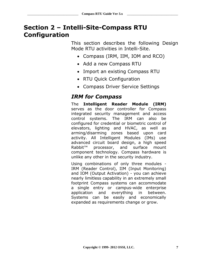## <span id="page-6-0"></span>**Section 2 – Intelli-Site-Compass RTU Configuration**

This section describes the following Design Mode RTU activities in Intelli-Site.

- Compass (IRM, IIM, IOM and RCO)
- Add a new Compass RTU
- Import an existing Compass RTU
- RTU Ouick Configuration
- Compass Driver Service Settings

#### <span id="page-6-1"></span>*IRM for Compass*

The **Intelligent Reader Module (IRM)** serves as the door controller for Compass integrated security management and access control systems. The IRM can also be configured for credential or biometric control of elevators, lighting and HVAC, as well as arming/disarming zones based upon card activity. All Intelligent Modules (IMs) use advanced circuit board design, a high speed Rabbit<sup>™</sup> processor, and surface mount component technology. Compass hardware is unlike any other in the security industry.

Using combinations of only three modules - IRM (Reader Control), IIM (Input Monitoring) and IOM (Output Activation) - you can achieve nearly limitless capability in an extremely small footprint Compass systems can accommodate a single entry or campus-wide enterprise application and everything in between. Systems can be easily and economically expanded as requirements change or grow.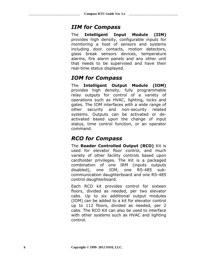#### <span id="page-7-0"></span>*IIM for Compass*

The **Intelligent Input Module (IIM)** provides high density, configurable inputs for monitoring a host of sensors and systems including door contacts, motion detectors, glass break sensors devices, temperature alarms, fire alarm panels and any other unit that needs to be supervised and have their real-time status displayed.

## <span id="page-7-1"></span>*IOM for Compass*

The **Intelligent Output Module (IOM)** provides high density, fully programmable relay outputs for control of a variety of operations such as HVAC, lighting, locks and gates. The IOM interfaces with a wide range of other security and non-security related systems. Outputs can be activated or deactivated based upon the change of input status, time control function, or an operator command.

## <span id="page-7-2"></span>*RCO for Compass*

The **Reader Controlled Output (RCO)** Kit is used for elevator floor control, and much variety of other facility controls based upon cardholder privileges. The Kit is a packaged combination of one IRM (inputs outputs disabled), one IOM, one RS-485 subcommunication daughterboard and one RS-485 control daughterboard.

Each RCO kit provides control for sixteen floors, divided as needed, per two elevator cabs. Up to six additional output modules (IOM) can be added to a kit for elevator control up to 112 floors, divided as needed, per 2 cabs. The RCO Kit can also be used to interface with other systems such as HVAC and lighting control.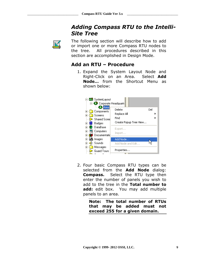#### *Adding Compass RTU to the Intelli-Site Tree*

<span id="page-8-1"></span><span id="page-8-0"></span>

The following section will describe how to add or import one or more Compass RTU nodes to the tree. All procedures described in this section are accomplished in Design Mode.

#### **Add an RTU – Procedure**

1. Expand the System Layout Node and Right-Click on an Area. Select **Add Node…** from the Shortcut Menu as shown below:



2. Four basic Compass RTU types can be selected from the **Add Node** dialog: **Compass.** Select the RTU type then enter the number of panels you wish to add to the tree in the **Total number to add:** edit box. You may add multiple panels to an area.

> **Note: The total number of RTUs that may be added must not exceed 255 for a given domain.**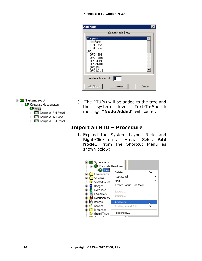| <b>Add Node</b>                                                                                                                |                  |        |
|--------------------------------------------------------------------------------------------------------------------------------|------------------|--------|
|                                                                                                                                | Select Node Type |        |
| Compass<br>IIM Panel<br>IOM Panel<br>IRM Panel<br>OPC<br>OPC-16IN<br>0PC-160UT<br>0PC-32IN<br>0PC-320UT<br>OPC-8IN<br>OPC-80UT |                  |        |
| Total number to add:                                                                                                           | 11               |        |
| Add Node                                                                                                                       | <b>Browse</b>    | Cancel |

#### 白 Hill SystemLayout **B** Corporate Headquarters ⊟-**69** Area Find Compass IRM Panel

<span id="page-9-0"></span>Find Compass IIM Panel Fi-Ftu Compass IOM Panel 3. The RTU(s) will be added to the tree and the system level Text-To-Speech message **"Node Added"** will sound.

#### **Import an RTU – Procedure**

1. Expand the System Layout Node and Right-Click on an Area. Select **Add Node…** from the Shortcut Menu as shown below:

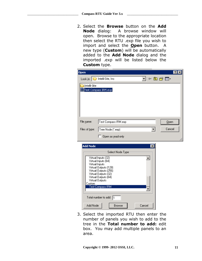2. Select the **Browse** button on the **Add Node** dialog: A browse window will open. Browse to the appropriate location then select the RTU .exp file you wish to import and select the **Open** button. A new type (**Custom**) will be automatically added to the **Add Node** dialog and the imported .exp will be listed below the **Custom** type.

| <b>Open</b>              |                                                                                                                                                                                            |                 | ? <br>lx |
|--------------------------|--------------------------------------------------------------------------------------------------------------------------------------------------------------------------------------------|-----------------|----------|
|                          | Look in: Thelli-Site, Inc                                                                                                                                                                  | <u>▼</u> +白び囲・  |          |
| Intelli-Site             | Test Compass IRM.exp                                                                                                                                                                       |                 |          |
| File name:               | Test Compass IRM.exp                                                                                                                                                                       |                 | $Q$ pen  |
| Files of type:           | Tree Node (*.exp)                                                                                                                                                                          |                 | Cancel   |
|                          | Open as read-only                                                                                                                                                                          |                 |          |
| <b>Add Node</b>          |                                                                                                                                                                                            | $\vert x \vert$ |          |
|                          | Select Node Type                                                                                                                                                                           |                 |          |
| Virtual Inputs<br>Custom | Virtual Inputs (32)<br>Virtual Inputs (64)<br>Virtual Outputs (128)<br>Virtual Outputs (256)<br>Virtual Outputs (32)<br>Virtual Outputs (64)<br>Virtual Outputs<br><b>Test Compass IRM</b> |                 |          |
|                          |                                                                                                                                                                                            |                 |          |
|                          | Total number to add: $\boxed{1}$                                                                                                                                                           |                 |          |
| Add Node                 | <b>Browse</b>                                                                                                                                                                              | Cancel          |          |

3. Select the imported RTU then enter the number of panels you wish to add to the tree in the **Total number to add:** edit box. You may add multiple panels to an area.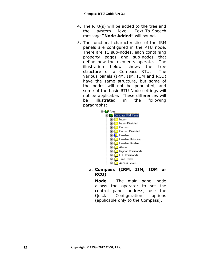- 4. The RTU(s) will be added to the tree and the system level Text-To-Speech message **"Node Added"** will sound.
- 5. The functional characteristics of the IRM panels are configured in the RTU node. There are 11 sub-nodes, each containing property pages and sub-nodes that define how the elements operate. The illustration below shows the tree structure of a Compass RTU. The various panels (IRM, IIM, IOM and RCO) have the same structure, but some of the nodes will not be populated, and some of the basic RTU Node settings will not be applicable. These differences will be illustrated in the following paragraphs:



a. **Compass (IRM, IIM, IOM or RCO)**

**Node** - The main panel node allows the operator to set the control panel address, use the Quick Configuration options (applicable only to the Compass).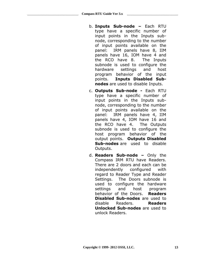- b. **Inputs Sub-node –** Each RTU type have a specific number of input points in the Inputs subnode, corresponding to the number of input points available on the panel: IRM panels have 8, IIM panels have 16, IOM have 4 and the RCO have 8. The Inputs subnode is used to configure the hardware settings and host program behavior of the input points. **Inputs Disabled Subnodes** are used to disable Inputs.
- c. **Outputs Sub-node -** Each RTU type have a specific number of input points in the Inputs subnode, corresponding to the number of input points available on the panel: IRM panels have 4, IIM panels have 4, IOM have 16 and the RCO have 4. The Outputs subnode is used to configure the host program behavior of the output points. **Outputs Disabled Sub-nodes** are used to disable Outputs.
- d. **Readers Sub-node –** Only the Compass IRM RTU have Readers. There are 2 doors and each can be independently configured with regard to Reader Type and Reader Settings. The Doors subnode is used to configure the hardware settings and host program behavior of the Doors. **Readers Disabled Sub-nodes** are used to disable Readers. **Readers Unlocked Sub-nodes** are used to unlock Readers.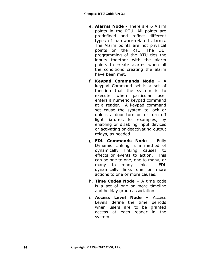- e. **Alarms Node -** There are 6 Alarm points in the RTU. All points are predefined and reflect different types of hardware-related alarms. The Alarm points are not physical points on the RTU. The DLT programming of the RTU ties the inputs together with the alarm points to create alarms when all the conditions creating the alarm have been met.
- f. **Keypad Commands Node –** A keypad Command set is a set of function that the system is to execute when particular user enters a numeric keypad command at a reader. A keypad command set cause the system to lock or unlock a door turn on or turn off light fixtures, for examples, by enabling or disabling input devices or activating or deactivating output relays, as needed.
- g. **FDL Commands Node –** Fully Dynamic Linking is a method of dynamically linking causes to effects or events to action. This can be one to one, one to many, or many to many link. FDL dynamically links one or more actions to one or more causes.
- h. **Time Codes Node –** A time code is a set of one or more timeline and holiday group association.
- i. **Access Level Node –** Access Levels define the time periods when users are to be granted access at each reader in the system.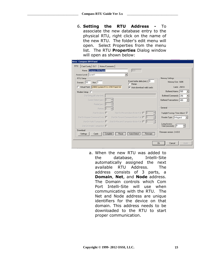6. **Setting the RTU Address -** To associate the new database entry to the physical RTU, right click on the name of the new RTU. The folder's edit menu will open. Select Properties from the menu list. The RTU **Properties** Dialog window will open as shown below:

| Name: Compass IRM Panel<br>Access Level: Level 1 | 623                                                           |                                                    |
|--------------------------------------------------|---------------------------------------------------------------|----------------------------------------------------|
| RTU Setup-                                       |                                                               | Memory Settings:                                   |
| Domain: 33<br>Net: $ 1 $                         | Event buffer delta (min.): 0<br>$\Box$ Retain                 | Memory Size: 640K                                  |
| Virtual Point: [3989] System RTU->IRM Panel Virt | $\nabla$ Auto download valid cards:                           | Cards: 25810                                       |
| Modem Setup $\square$                            |                                                               | Buffered Alarms: 585                               |
| Dial String (40 char limit):                     |                                                               | Buffered Commands: 256                             |
| Carrier Detect (sec): 0                          |                                                               | Buffered Transactions: 480<br>$\blacktriangledown$ |
| Redial (sec): $ 0 $                              | 골                                                             |                                                    |
| Retries: 0                                       | 픺                                                             | General                                            |
| Dial On Alarm: $\Box$                            | 즐<br>Dial On Percent Alarm Buffer Full: $\Box$ 0              | Daylight Savings Time Adjust: V                    |
| Dial On Keypad Command Entry: $\square$          | 골<br>Dial On Percent Command Buffer Full: [<br>$\mathbb{I}^0$ | Reader Type: Wiegand                               |
| Dial On Valid Transaction: $\Box$                | 골<br>Dial On Percent Transaction Buffer Full: □   0           | Long Access                                        |
| Dial On Invalid Transaction:                     |                                                               | 乌<br>10<br>Time (seconds):                         |
| Download<br>Settings<br>Cards                    | Auto-Detect<br>Complete<br>Reset<br>Firmware                  | Firmware version: 2.4.0.0                          |

a. When the new RTU was added to the database, Intelli-Site automatically assigned the next available RTU Address. The address consists of 3 parts, a **Domain**, **Net**, and **Node** address. The Domain controls which Com Port Intelli-Site will use when communicating with the RTU. The Net and Node address are unique identifiers for the device on that domain. This address needs to be downloaded to the RTU to start proper communication.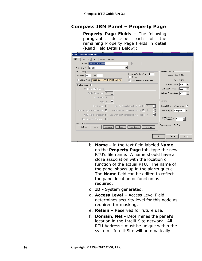#### <span id="page-15-0"></span>**Compass IRM Panel – Property Page**

**Property Page Fields –** The following paragraphs describe each of the remaining Property Page Fields in detail (Read Field Details Below):

| <b>Area - Compass IRM Panel</b><br>Card Config   DLT   Notes/Comments  <br><b>RTU</b> |                                                   |                                         |
|---------------------------------------------------------------------------------------|---------------------------------------------------|-----------------------------------------|
| Name: Compass IRM Panel                                                               | 623                                               |                                         |
| Access Level: Level 1                                                                 |                                                   |                                         |
| RTU Setup-                                                                            |                                                   | Memory Settings:                        |
| Domain: 33<br>Net: $ 1$                                                               | Event buffer delta (min.): 0<br>Retain            | Memory Size: 640K                       |
| Virtual Point: [3989] System RTU->IRM Panel Virt                                      | Auto download valid cards:<br>⊽                   | Cards: 25810                            |
| Modem Setup F                                                                         |                                                   | Buffered Alarms: 585                    |
| Dial String (40 char limit):                                                          |                                                   | Buffered Commands: 256                  |
| Carrier Detect (sec): 0                                                               |                                                   | Buffered Transactions: 480              |
| ÷<br>Redial (sec): 0                                                                  |                                                   |                                         |
| Retries: 0                                                                            |                                                   | General                                 |
| Dial On Alarm: $\Gamma$                                                               | 클<br>Dial On Percent Alarm Buffer Full: □   0     | Daylight Savings Time Adjust: V         |
| Dial On Keypad Command Entry: $\square$                                               | 픺<br>Dial On Percent Command Buffer Full: 0       | Reader Type: Wiegand                    |
| Dial On Valid Transaction: $\Box$                                                     | 再<br>Dial On Percent Transaction Buffer Full: □ 0 | Long Access                             |
| Dial On Invalid Transaction: I                                                        |                                                   | 킄<br>$\vert 0 \vert$<br>Time (seconds): |
| Download-<br>Settings<br>Cards<br>Complete                                            | Auto-Detect<br>Reset<br>Firmware                  | Firmware version: 2.4.0.0               |
|                                                                                       |                                                   |                                         |
|                                                                                       |                                                   | Cancel<br>0 <sub>k</sub>                |
|                                                                                       |                                                   | Apply                                   |

- b. **Name -** In the text field labeled **Name**  on the **Property Page** tab, type the new RTU's file name. A name should have a close association with the location or function of the actual RTU. The name of the panel shows up in the alarm queue. The **Name** field can be edited to reflect the panel location or function as required.
- c. **ID -** System generated.
- d. **Access Level –** Access Level Field determines security level for this node as required for masking.
- e. **Retain –** Reserved for future use.
- f. **Domain, Net -** Determines the panel's location in the Intelli-Site network. All RTU Address's must be unique within the system. Intelli-Site will automatically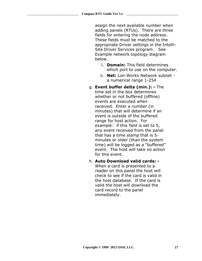assign the next available number when adding panels (RTUs). There are three fields for entering the node address. These fields must be matched to the appropriate Driver settings in the Intelli-Site Driver Services program. See Example network topology diagram below.

- i. **Domain:** This field determines which port to use on the computer.
- ii. **Net:** Lon-Works Network subnet a numerical range 1-254
- g. **Event buffer delta (min.): -** The time set in the box determines whether or not buffered (offline) events are executed when received. Enter a number (in minutes) that will determine if an event is outside of the buffered range for host action. For example: if this field is set to 5, any event received from the panel that has a time stamp that is 5 minutes or older (than the system time) will be logged as a "buffered" event. The host will take no action for this event.
- h. **Auto Download valid cards: -** When a card is presented to a reader on this panel the host will check to see if the card is valid in the host database. If the card is valid the host will download the card record to the panel immediately.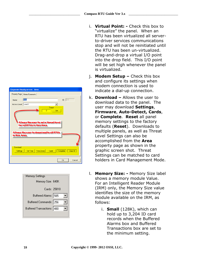|                                                                                                                                                   | j. |
|---------------------------------------------------------------------------------------------------------------------------------------------------|----|
| orate Headquarters - Area                                                                                                                         |    |
| erty Page   Notes/Comments                                                                                                                        |    |
| ID: $210$<br>Area<br>me:                                                                                                                          | k. |
| ess Level: Level 1<br>▼                                                                                                                           |    |
| Threat<br>Set<br>o<br>Allows the user to set a threat level<br>for all RTUs in this Area.<br>llows the user to download to all RTUs<br>this Area. |    |
| ownload<br>Complete<br>Clear All<br><b>Set Time</b><br>Time Zones<br>Cards<br>Settings                                                            |    |
| Cancel<br>0k                                                                                                                                      |    |

| Memory Settings            |
|----------------------------|
| Memory Size: 640K          |
| Cards: 25810               |
| Buffered Alarms: 585       |
| Buffered Commands: 256     |
| Buffered Transactions: 480 |
|                            |

- i. **Virtual Point: -** Check this box to "virtualize" the panel. When an RTU has been virtualized all serverto-driver services communications stop and will not be reinitiated until the RTU has been un-virtualized. Drag-and-drop a virtual I/O point into the drop field. This I/O point will be set high whenever the panel is virtualized.
- **Modem Setup –** Check this box and configure its settings when modem connection is used to indicate a dial-up connection.
- **Download –** Allows the user to download data to the panel. The user may download **Settings**, **Firmware**, **Auto-Detect, Cards**, or **Complete**. **Reset** all panel memory settings to the factory defaults (**Reset**). Downloads to multiple panels, as well as Threat Level Settings can also be accomplished from the **Area** property page as shown in the graphic screen shot. Threat Settings can be matched to card holders in Card Management Mode.
- l. **Memory Size: -** Memory Size label shows a memory module Value. For an Intelligent Reader Module (IRM) only, the Memory Size value identifies the size of the memory module available on the IRM, as follows:
	- i. **Small** (128K), which can hold up to 3,204 ID card records when the Buffered Alarms box and Buffered Transactions box are set to the minimum setting.

Corp Prop Na Aco

A<br>in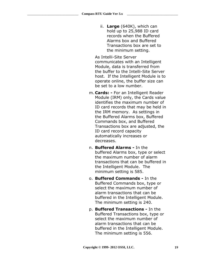ii. **Large** (640K), which can hold up to 25,988 ID card records when the Buffered Alarms box and Buffered Transactions box are set to the minimum setting.

As Intelli-Site Server communicates with an Intelligent Module, data is transferred from the buffer to the Intelli-Site Server host. If the Intelligent Module is to operate online, the buffer size can be set to a low number.

- m. **Cards: -** For an Intelligent Reader Module (IRM) only, the Cards value identifies the maximum number of ID card records that may be held in the IRM memory. As settings in the Buffered Alarms box, Buffered Commands box, and Buffered Transactions box are adjusted, the ID card record capacity automatically increases or decreases.
- n. **Buffered Alarms -** In the buffered Alarms box, type or select the maximum number of alarm transactions that can be buffered in the Intelligent Module. The minimum setting is 585.
- o. **Buffered Commands -** In the Buffered Commands box, type or select the maximum number of alarm transactions that can be buffered in the Intelligent Module. The minimum setting is 240.
- p. **Buffered Transactions -** In the Buffered Transactions box, type or select the maximum number of alarm transactions that can be buffered in the Intelligent Module. The minimum setting is 556.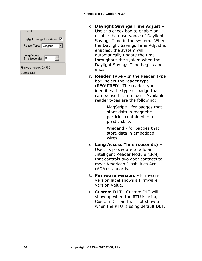| General                              |  |
|--------------------------------------|--|
| Daylight Savings Time Adjust: I∨     |  |
| Reader Type: Wiegand                 |  |
| Long Access<br>10<br>Time (seconds): |  |
| Firmware version: 2.4.0.0            |  |
| Custom DLT                           |  |

- q. **Daylight Savings Time Adjust –** Use this check box to enable or disable the observance of Daylight Savings Time in the system. When the Daylight Savings Time Adjust is enabled, the system will automatically update the time throughout the system when the Daylight Savings Time begins and ends.
- r. **Reader Type -** In the Reader Type box, select the reader type. (REQUIRED) The reader type identifies the type of badge that can be used at a reader. Available reader types are the following:
	- i. MagStripe for badges that store data in magnetic particles contained in a plastic strip.
	- ii. Wiegand for badges that store data in embedded wires.
- s. **Long Access Time (seconds) –** Use this procedure to add an Intelligent Reader Module (IRM) that controls two door contacts to meet American Disabilities Act (ADA) standards.
- t. **Firmware version: -** Firmware version label shows a Firmware version Value.
- u. **Custom DLT** Custom DLT will show up when the RTU is using Custom DLT and will not show up when the RTU is using default DLT.